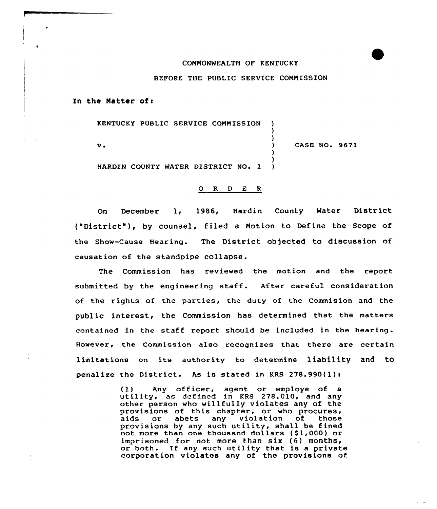## COMMONWEALTH OF KENTUCKY

## BEFORE THE PUBLIC SERVICE COMMISSION

) )<br>)

 $\lambda$ 

)

In the Matter of:

KENTUCKY PUBLIC SERVICE COMMISSION

 $v$ .

CASE NO. 9671

HARDEN COUNTY WATER DISTRICT NO. 1 )

## 0 R <sup>D</sup> E <sup>R</sup>

On December 1, 1986, Hardin County Water Distric ("District" ), by counsel, filed <sup>a</sup> Notion to Define the Scope of the show-cause Hearing. The District objected to discussion of causation of the standpipe collapse.

The Commission has reviewed the motion and the report submitted by the engineering staff. After careful consideration of the rights of the parties, the duty of the Commision and the public interest, the Commission has determined that the matters contained in the staff report should be included in the hearing. However, the Commission also recognizes that there are certain limitations on its authority to determine liability and to penalize the District. As is stated in KRS  $278.990(1)$ :

> {1) Any officer, agent or employe of <sup>a</sup> utility, as defined in KRS 278.010, and any other person who willfully violates any of the provisions of this chapter, or who procures,<br>aids or abets any violation of those violation of those provisions by any such utility, shall be fined not more than one thousand dollars  $(1,000)$  or imprisoned for not more than six  $(6)$  months, or both. If any such utility that is a private corporation violates any of. the provisions of